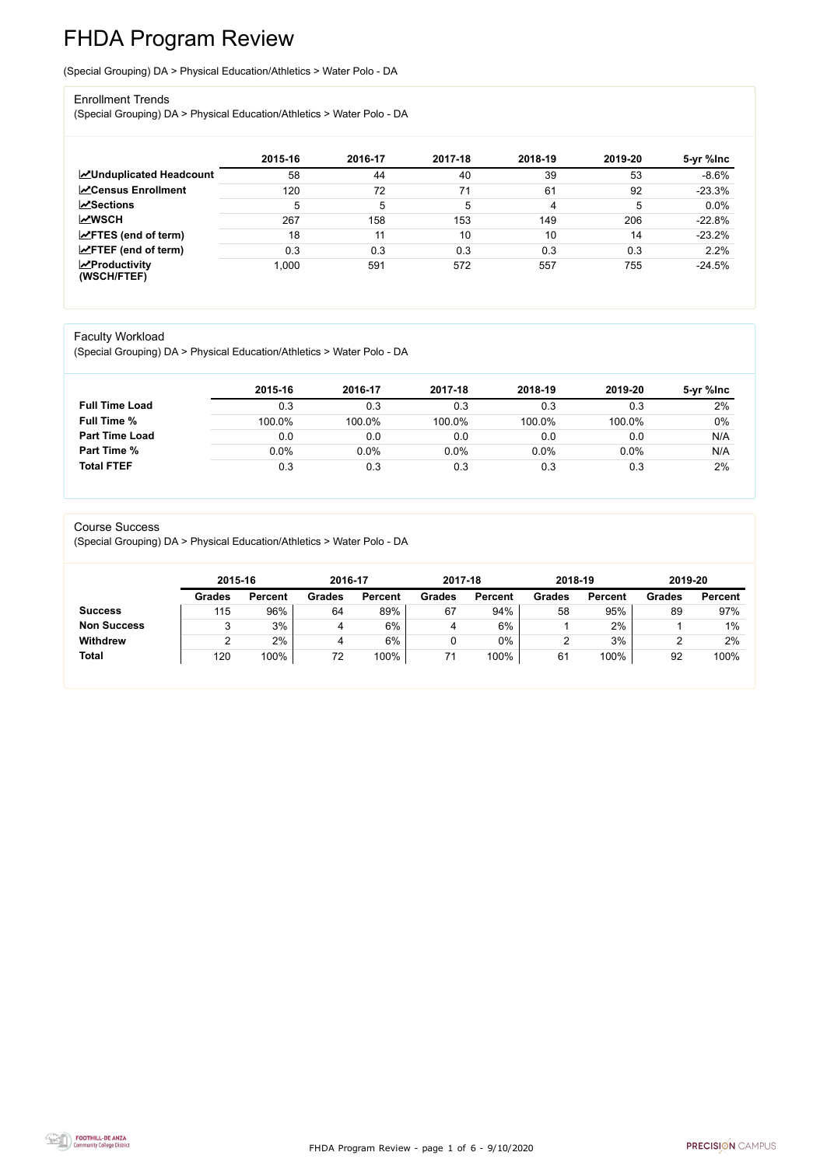FHDA Program Review - page 1 of 6 - 9/10/2020



# FHDA Program Review

(Special Grouping) DA > Physical Education/Athletics > Water Polo - DA

#### Enrollment Trends

(Special Grouping) DA > Physical Education/Athletics > Water Polo - DA

|                                                  | 2015-16 | 2016-17 | 2017-18 | 2018-19 | 2019-20 | 5-yr %lnc |
|--------------------------------------------------|---------|---------|---------|---------|---------|-----------|
| <b>ZUnduplicated Headcount</b>                   | 58      | 44      | 40      | 39      | 53      | $-8.6%$   |
| <b>ZCensus Enrollment</b>                        | 120     | 72      | 71      | 61      | 92      | $-23.3%$  |
| $\sqrt{\frac{1}{2}}$ Sections                    | 5       | 5       | 5       | 4       | 5       | 0.0%      |
| <b>MWSCH</b>                                     | 267     | 158     | 153     | 149     | 206     | $-22.8%$  |
| $\angle$ FTES (end of term)                      | 18      | 11      | 10      | 10      | 14      | $-23.2%$  |
| $\angle$ FTEF (end of term)                      | 0.3     | 0.3     | 0.3     | 0.3     | 0.3     | 2.2%      |
| $\sqrt{\frac{1}{2}}$ Productivity<br>(WSCH/FTEF) | 1,000   | 591     | 572     | 557     | 755     | $-24.5%$  |

#### Faculty Workload

(Special Grouping) DA > Physical Education/Athletics > Water Polo - DA

|                       | 2015-16 | 2016-17 | 2017-18 | 2018-19 | 2019-20 | 5-yr %lnc |
|-----------------------|---------|---------|---------|---------|---------|-----------|
| <b>Full Time Load</b> | 0.3     | 0.3     | 0.3     | 0.3     | 0.3     | 2%        |
| <b>Full Time %</b>    | 100.0%  | 100.0%  | 100.0%  | 100.0%  | 100.0%  | $0\%$     |
| <b>Part Time Load</b> | 0.0     | 0.0     | 0.0     | 0.0     | 0.0     | N/A       |
| <b>Part Time %</b>    | $0.0\%$ | 0.0%    | 0.0%    | $0.0\%$ | 0.0%    | N/A       |
| <b>Total FTEF</b>     | 0.3     | 0.3     | 0.3     | 0.3     | 0.3     | 2%        |

#### Course Success

(Special Grouping) DA > Physical Education/Athletics > Water Polo - DA

|                    | 2015-16       |                | 2016-17       |                | 2017-18       |                | 2018-19       |                | 2019-20       |                |
|--------------------|---------------|----------------|---------------|----------------|---------------|----------------|---------------|----------------|---------------|----------------|
|                    | <b>Grades</b> | <b>Percent</b> | <b>Grades</b> | <b>Percent</b> | <b>Grades</b> | <b>Percent</b> | <b>Grades</b> | <b>Percent</b> | <b>Grades</b> | <b>Percent</b> |
| <b>Success</b>     | 115           | 96%            | 64            | 89%            | 67            | 94%            | 58            | 95%            | 89            | 97%            |
| <b>Non Success</b> |               | 3%             | 4             | 6%             | 4             | 6%             |               | 2%             |               | 1%             |
| <b>Withdrew</b>    |               | 2%             | 4             | 6%             |               | $0\%$          | ∼             | 3%             |               | 2%             |
| <b>Total</b>       | 120           | 100%           | 72            | 100%           | 71            | 100%           | 61            | 100%           | 92            | 100%           |
|                    |               |                |               |                |               |                |               |                |               |                |

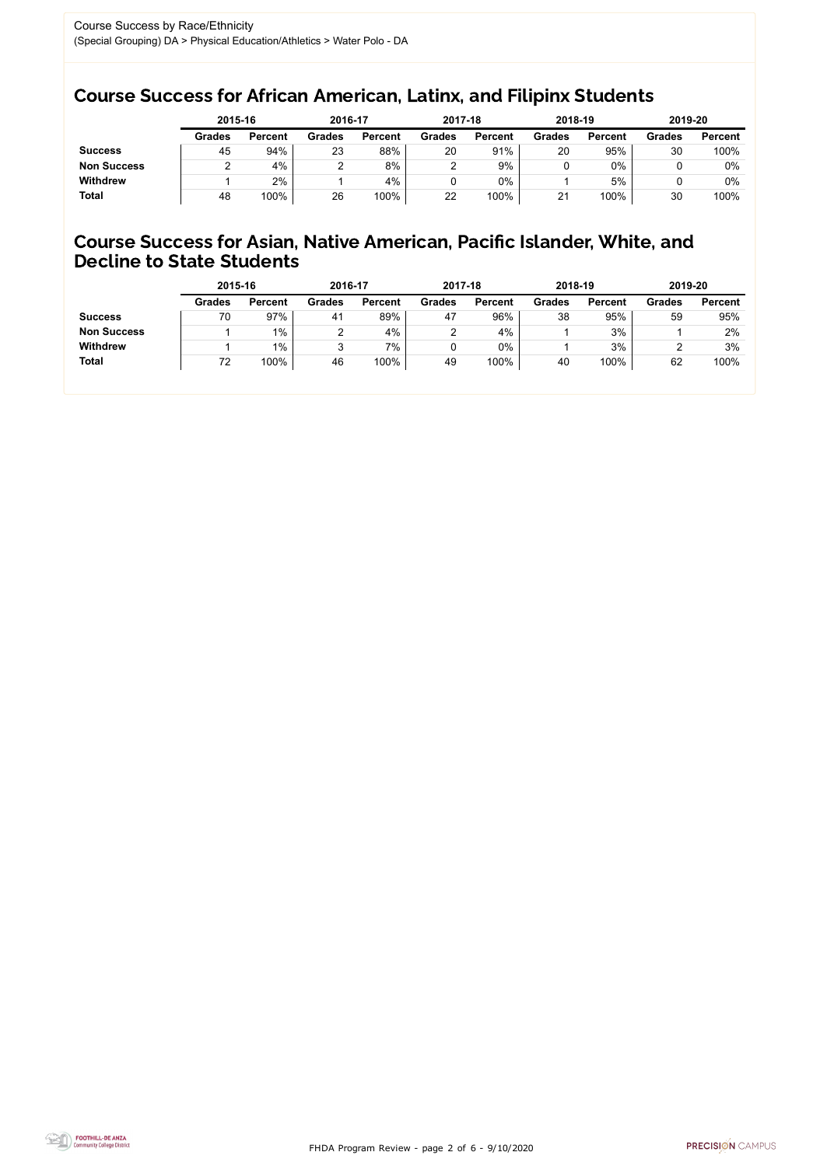FHDA Program Review - page 2 of 6 - 9/10/2020



## Course Success for African American, Latinx, and Filipinx Students

## Course Success for Asian, Native American, Pacific Islander, White, and Decline to State Students

|                    | 2015-16       |                | 2016-17       |                | 2017-18       |                | 2018-19       |                | 2019-20       |                |
|--------------------|---------------|----------------|---------------|----------------|---------------|----------------|---------------|----------------|---------------|----------------|
|                    | <b>Grades</b> | <b>Percent</b> | <b>Grades</b> | <b>Percent</b> | <b>Grades</b> | <b>Percent</b> | <b>Grades</b> | <b>Percent</b> | <b>Grades</b> | <b>Percent</b> |
| <b>Success</b>     | 45            | 94%            | 23            | 88%            | 20            | 91%            | 20            | 95%            | 30            | 100%           |
| <b>Non Success</b> |               | 4%             |               | 8%             |               | 9%             |               | 0%             |               | $0\%$          |
| <b>Withdrew</b>    |               | 2%             |               | 4%             |               | $0\%$          |               | 5%             |               | 0%             |
| <b>Total</b>       | 48            | 100%           | 26            | 100%           | 22            | 100%           | 21            | 100%           | 30            | 100%           |

|                    | 2015-16       |                | 2016-17       |                | 2017-18       |                | 2018-19       |                | 2019-20       |                |
|--------------------|---------------|----------------|---------------|----------------|---------------|----------------|---------------|----------------|---------------|----------------|
|                    | <b>Grades</b> | <b>Percent</b> | <b>Grades</b> | <b>Percent</b> | <b>Grades</b> | <b>Percent</b> | <b>Grades</b> | <b>Percent</b> | <b>Grades</b> | <b>Percent</b> |
| <b>Success</b>     | 70            | 97%            | 41            | 89%            | 47            | 96%            | 38            | 95%            | 59            | 95%            |
| <b>Non Success</b> |               | 1%             |               | 4%             |               | 4%             |               | 3%             |               | 2%             |
| <b>Withdrew</b>    |               | $1\%$          |               | $7\%$          |               | 0%             |               | 3%             |               | 3%             |
| <b>Total</b>       | 72            | 100%           | 46            | 100%           | 49            | 100%           | 40            | 100%           | 62            | 100%           |
|                    |               |                |               |                |               |                |               |                |               |                |

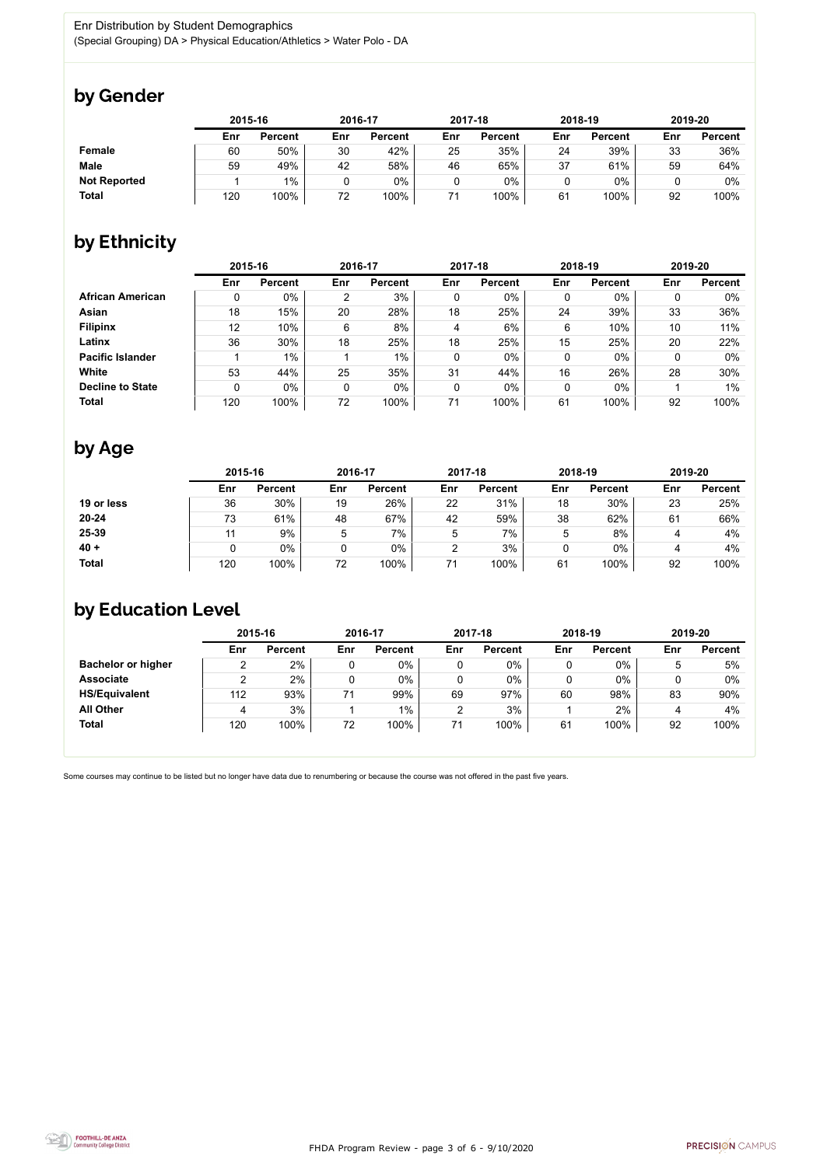FHDA Program Review - page 3 of 6 - 9/10/2020



Some courses may continue to be listed but no longer have data due to renumbering or because the course was not offered in the past five years.



## by Gender

|                     | 2015-16 |                |     | 2016-17        |     | 2017-18        |     | 2018-19        |     | 2019-20        |  |
|---------------------|---------|----------------|-----|----------------|-----|----------------|-----|----------------|-----|----------------|--|
|                     | Enr     | <b>Percent</b> | Enr | <b>Percent</b> | Enr | <b>Percent</b> | Enr | <b>Percent</b> | Enr | <b>Percent</b> |  |
| <b>Female</b>       | 60      | 50%            | 30  | 42%            | 25  | 35%            | 24  | 39%            | 33  | 36%            |  |
| <b>Male</b>         | 59      | 49%            | 42  | 58%            | 46  | 65%            | 37  | 61%            | 59  | 64%            |  |
| <b>Not Reported</b> |         | $1\%$          |     | 0%             |     | 0%             |     | $0\%$          |     | 0%             |  |
| <b>Total</b>        | 120     | 100%           | 72  | 100%           | 71  | 100%           | 61  | 100%           | 92  | 100%           |  |

## by Ethnicity

|                         |     | 2015-16        |     | 2016-17        |     | 2017-18        |     | 2018-19        | 2019-20 |                |
|-------------------------|-----|----------------|-----|----------------|-----|----------------|-----|----------------|---------|----------------|
|                         | Enr | <b>Percent</b> | Enr | <b>Percent</b> | Enr | <b>Percent</b> | Enr | <b>Percent</b> | Enr     | <b>Percent</b> |
| <b>African American</b> | 0   | $0\%$          | 2   | 3%             | 0   | 0%             | 0   | $0\%$          |         | $0\%$          |
| Asian                   | 18  | 15%            | 20  | 28%            | 18  | 25%            | 24  | 39%            | 33      | 36%            |
| <b>Filipinx</b>         | 12  | 10%            | 6   | 8%             | 4   | 6%             | 6   | 10%            | 10      | 11%            |
| Latinx                  | 36  | 30%            | 18  | 25%            | 18  | 25%            | 15  | 25%            | 20      | 22%            |
| <b>Pacific Islander</b> |     | $1\%$          |     | $1\%$          | 0   | 0%             | 0   | 0%             |         | $0\%$          |
| White                   | 53  | 44%            | 25  | 35%            | 31  | 44%            | 16  | 26%            | 28      | 30%            |
| <b>Decline to State</b> | 0   | $0\%$          | 0   | $0\%$          | 0   | 0%             | 0   | $0\%$          |         | 1%             |
| <b>Total</b>            | 120 | 100%           | 72  | 100%           | 71  | 100%           | 61  | 100%           | 92      | 100%           |

## by Age

|              | 2015-16 |                |     | 2016-17        |     | 2017-18        |     | 2018-19        | 2019-20 |                |
|--------------|---------|----------------|-----|----------------|-----|----------------|-----|----------------|---------|----------------|
|              | Enr     | <b>Percent</b> | Enr | <b>Percent</b> | Enr | <b>Percent</b> | Enr | <b>Percent</b> | Enr     | <b>Percent</b> |
| 19 or less   | 36      | 30%            | 19  | 26%            | 22  | 31%            | 18  | 30%            | 23      | 25%            |
| $20 - 24$    | 73      | 61%            | 48  | 67%            | 42  | 59%            | 38  | 62%            | 61      | 66%            |
| 25-39        |         | 9%             | 5   | 7%             | 5   | 7%             | 5   | 8%             |         | 4%             |
| $40 +$       |         | $0\%$          |     | $0\%$          | C   | 3%             |     | $0\%$          |         | 4%             |
| <b>Total</b> | 120     | 100%           | 72  | 100%           |     | 100%           | 61  | 100%           | 92      | 100%           |

## by Education Level

|                           | 2015-16 |                |     | 2016-17        |     | 2017-18        | 2018-19 |                | 2019-20 |                |
|---------------------------|---------|----------------|-----|----------------|-----|----------------|---------|----------------|---------|----------------|
|                           | Enr     | <b>Percent</b> | Enr | <b>Percent</b> | Enr | <b>Percent</b> | Enr     | <b>Percent</b> | Enr     | <b>Percent</b> |
| <b>Bachelor or higher</b> | ⌒       | 2%             |     | $0\%$          |     | $0\%$          |         | $0\%$          |         | 5%             |
| <b>Associate</b>          |         | 2%             |     | $0\%$          |     | $0\%$          |         | $0\%$          |         | $0\%$          |
| <b>HS/Equivalent</b>      | 112     | 93%            | 71  | 99%            | 69  | 97%            | 60      | 98%            | 83      | 90%            |
| <b>All Other</b>          | 4       | 3%             |     | $1\%$          | ◠   | 3%             |         | 2%             |         | 4%             |
| <b>Total</b>              | 120     | 100%           | 72  | 100%           | 71  | 100%           | 61      | 100%           | 92      | 100%           |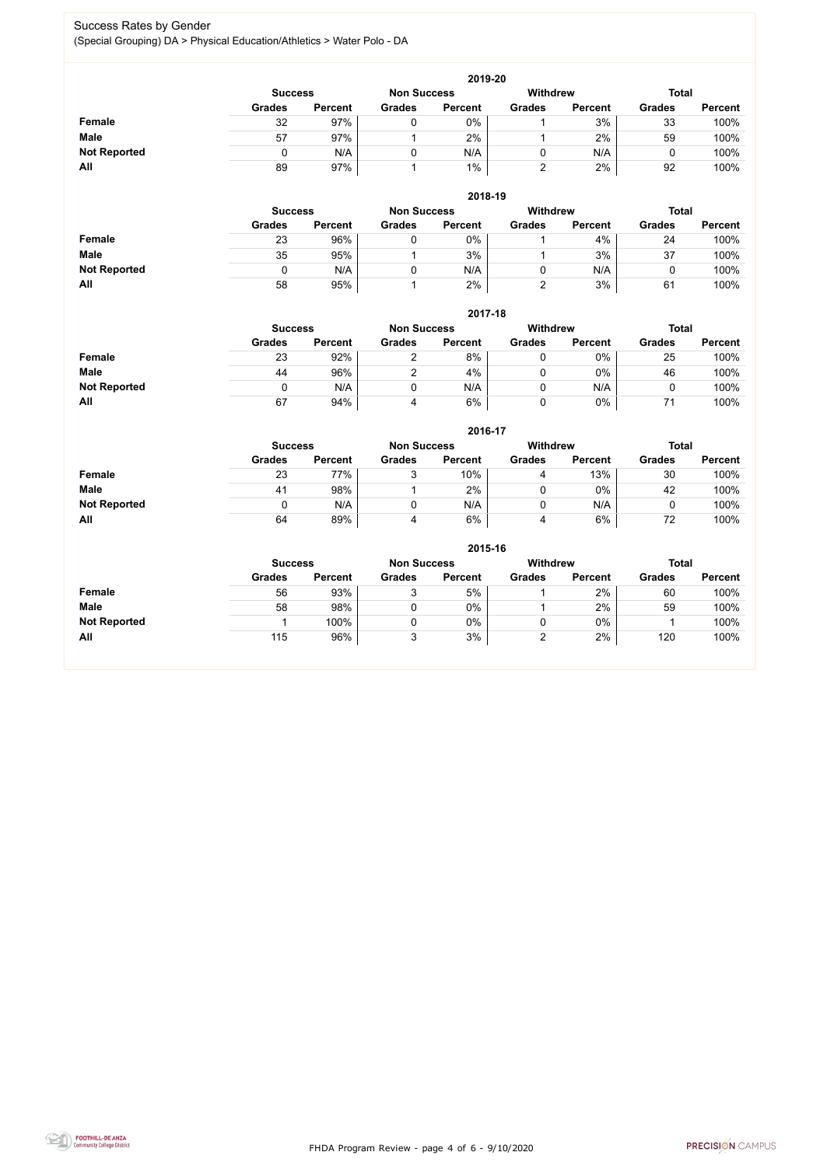FHDA Program Review - page 4 of 6 - 9/10/2020



## Success Rates by Gender (Special Grouping) DA > Physical Education/Athletics > Water Polo - DA

|                     |               | 2019-20                              |               |                |               |                |               |                |  |  |  |  |  |  |
|---------------------|---------------|--------------------------------------|---------------|----------------|---------------|----------------|---------------|----------------|--|--|--|--|--|--|
|                     |               | <b>Non Success</b><br><b>Success</b> |               |                |               |                | <b>Total</b>  |                |  |  |  |  |  |  |
|                     | <b>Grades</b> | <b>Percent</b>                       | <b>Grades</b> | <b>Percent</b> | <b>Grades</b> | <b>Percent</b> | <b>Grades</b> | <b>Percent</b> |  |  |  |  |  |  |
| <b>Female</b>       | 32            | 97%                                  |               | 0%             |               | 3%             | 33            | 100%           |  |  |  |  |  |  |
| <b>Male</b>         | 57            | 97%                                  |               | 2%             |               | 2%             | 59            | 100%           |  |  |  |  |  |  |
| <b>Not Reported</b> |               | N/A                                  |               | N/A            |               | N/A            |               | 100%           |  |  |  |  |  |  |
| All                 | 89            | 97%                                  |               | $1\%$          |               | $2\%$          | 92            | 100%           |  |  |  |  |  |  |

|                     |               | 2018-19                                                                 |               |                |               |                |               |                |  |  |  |  |  |  |
|---------------------|---------------|-------------------------------------------------------------------------|---------------|----------------|---------------|----------------|---------------|----------------|--|--|--|--|--|--|
|                     |               | <b>Withdrew</b><br><b>Total</b><br><b>Non Success</b><br><b>Success</b> |               |                |               |                |               |                |  |  |  |  |  |  |
|                     | <b>Grades</b> | <b>Percent</b>                                                          | <b>Grades</b> | <b>Percent</b> | <b>Grades</b> | <b>Percent</b> | <b>Grades</b> | <b>Percent</b> |  |  |  |  |  |  |
| <b>Female</b>       | 23            | 96%                                                                     |               | 0%             |               | 4%             | 24            | 100%           |  |  |  |  |  |  |
| <b>Male</b>         | 35            | 95%                                                                     |               | 3%             |               | 3%             | 37            | 100%           |  |  |  |  |  |  |
| <b>Not Reported</b> |               | N/A                                                                     |               | N/A            |               | N/A            |               | 100%           |  |  |  |  |  |  |
| All                 | 58            | 95%                                                                     |               | 2%             |               | 3%             | 61            | 100%           |  |  |  |  |  |  |

|                     |                | 2017-18        |                                 |                |               |                |               |                |  |  |  |  |  |  |
|---------------------|----------------|----------------|---------------------------------|----------------|---------------|----------------|---------------|----------------|--|--|--|--|--|--|
|                     | <b>Success</b> |                | <b>Withdrew</b><br><b>Total</b> |                |               |                |               |                |  |  |  |  |  |  |
|                     | <b>Grades</b>  | <b>Percent</b> | <b>Grades</b>                   | <b>Percent</b> | <b>Grades</b> | <b>Percent</b> | <b>Grades</b> | <b>Percent</b> |  |  |  |  |  |  |
| <b>Female</b>       | 23             | 92%            |                                 | 8%             |               | $0\%$          | 25            | 100%           |  |  |  |  |  |  |
| <b>Male</b>         | 44             | 96%            | າ                               | 4%             |               | 0%             | 46            | 100%           |  |  |  |  |  |  |
| <b>Not Reported</b> |                | N/A            | 0                               | N/A            |               | N/A            | υ             | 100%           |  |  |  |  |  |  |
| All                 | 67             | 94%            | 4                               | 6%             | 0             | 0%             | 71            | 100%           |  |  |  |  |  |  |

|                     |               | 2016-17                                                                 |               |                |               |                |               |                |  |
|---------------------|---------------|-------------------------------------------------------------------------|---------------|----------------|---------------|----------------|---------------|----------------|--|
|                     |               | <b>Withdrew</b><br><b>Total</b><br><b>Non Success</b><br><b>Success</b> |               |                |               |                |               |                |  |
|                     | <b>Grades</b> | <b>Percent</b>                                                          | <b>Grades</b> | <b>Percent</b> | <b>Grades</b> | <b>Percent</b> | <b>Grades</b> | <b>Percent</b> |  |
| <b>Female</b>       | 23            | 77%                                                                     | J             | 10%            | 4             | 13%            | 30            | 100%           |  |
| <b>Male</b>         | 41            | 98%                                                                     |               | 2%             | U             | 0%             | 42            | 100%           |  |
| <b>Not Reported</b> | 0             | N/A                                                                     |               | N/A            | U             | N/A            |               | 100%           |  |
| All                 | 64            | 89%                                                                     | 4             | 6%             | 4             | 6%             | 72            | 100%           |  |

|               | <b>Non Success</b> |                | <b>Withdrew</b> |               | <b>Total</b>   |               |                |  |
|---------------|--------------------|----------------|-----------------|---------------|----------------|---------------|----------------|--|
| <b>Grades</b> | <b>Percent</b>     | <b>Grades</b>  | <b>Percent</b>  | <b>Grades</b> | <b>Percent</b> | <b>Grades</b> | <b>Percent</b> |  |
| 56            | 93%                | 3              | 5%              |               | 2%             | 60            | 100%           |  |
| 58            | 98%                |                | 0%              |               | 2%             | 59            | 100%           |  |
|               | 100%               | 0              | 0%              |               | $0\%$          |               | 100%           |  |
| 115           | 96%                | 3              | 3%              |               | 2%             | 120           | 100%           |  |
|               |                    | <b>Success</b> |                 |               | 2015-16        |               |                |  |

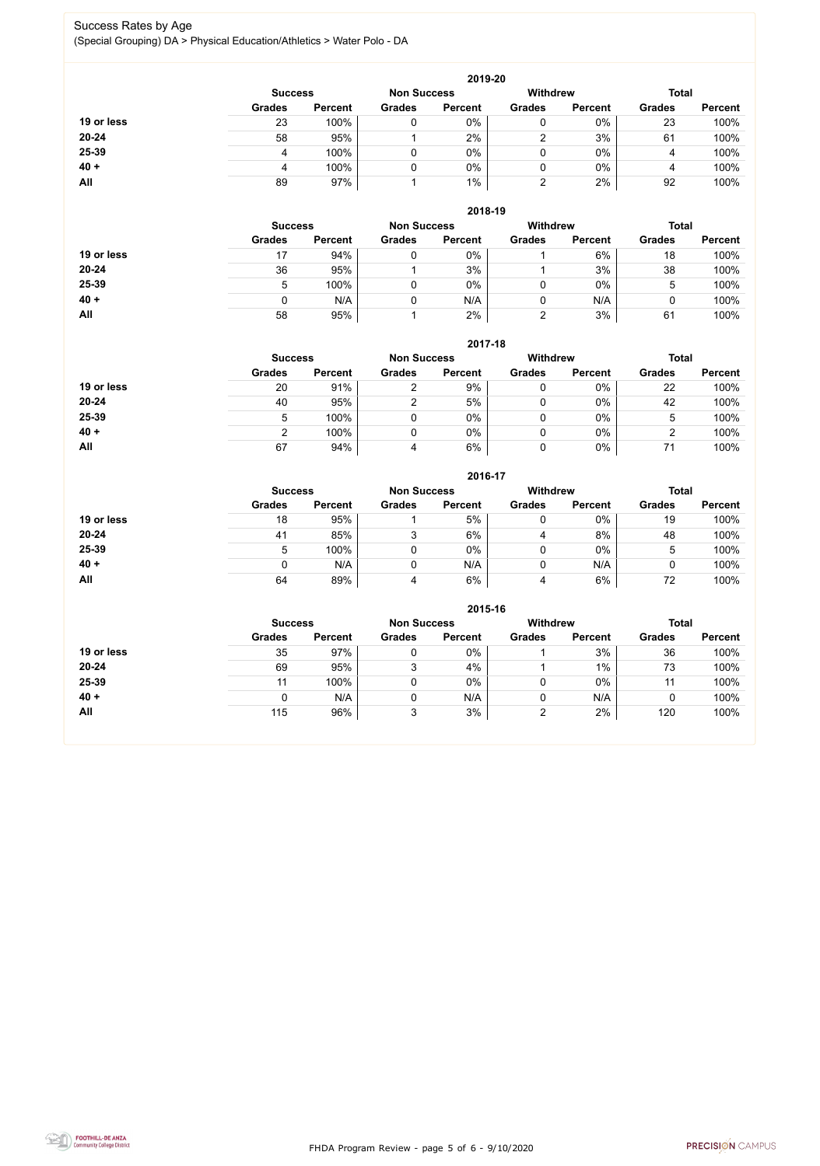FHDA Program Review - page 5 of 6 - 9/10/2020



## Success Rates by Age (Special Grouping) DA > Physical Education/Athletics > Water Polo - DA

|            | 2019-20                              |                |               |                |                 |                |               |                |  |
|------------|--------------------------------------|----------------|---------------|----------------|-----------------|----------------|---------------|----------------|--|
|            | <b>Non Success</b><br><b>Success</b> |                |               |                | <b>Withdrew</b> |                | <b>Total</b>  |                |  |
|            | <b>Grades</b>                        | <b>Percent</b> | <b>Grades</b> | <b>Percent</b> | <b>Grades</b>   | <b>Percent</b> | <b>Grades</b> | <b>Percent</b> |  |
| 19 or less | 23                                   | 100%           |               | 0%             | 0               | $0\%$          | 23            | 100%           |  |
| 20-24      | 58                                   | 95%            |               | 2%             | າ               | 3%             | 61            | 100%           |  |
| 25-39      | 4                                    | 100%           |               | 0%             | 0               | $0\%$          | 4             | 100%           |  |
| $40 +$     | 4                                    | 100%           |               | 0%             | 0               | $0\%$          | 4             | 100%           |  |
| <b>All</b> | 89                                   | 97%            |               | $1\%$          | ⌒               | 2%             | 92            | 100%           |  |

|            | 2018-19                              |                |               |                |                 |                |               |                |  |
|------------|--------------------------------------|----------------|---------------|----------------|-----------------|----------------|---------------|----------------|--|
|            | <b>Non Success</b><br><b>Success</b> |                |               |                | <b>Withdrew</b> |                | <b>Total</b>  |                |  |
|            | <b>Grades</b>                        | <b>Percent</b> | <b>Grades</b> | <b>Percent</b> | <b>Grades</b>   | <b>Percent</b> | <b>Grades</b> | <b>Percent</b> |  |
| 19 or less |                                      | 94%            |               | 0%             |                 | 6%             | 18            | 100%           |  |
| $20 - 24$  | 36                                   | 95%            |               | 3%             |                 | 3%             | 38            | 100%           |  |
| 25-39      | 5                                    | 100%           |               | 0%             | υ               | $0\%$          | 5             | 100%           |  |
| $40 +$     | 0                                    | N/A            |               | N/A            | ν               | N/A            | U             | 100%           |  |
| All        | 58                                   | 95%            |               | 2%             |                 | 3%             | 61            | 100%           |  |

### **2017-18**

|            | 2017-18        |                |                    |                |                 |                |               |                |  |
|------------|----------------|----------------|--------------------|----------------|-----------------|----------------|---------------|----------------|--|
|            | <b>Success</b> |                | <b>Non Success</b> |                | <b>Withdrew</b> | <b>Total</b>   |               |                |  |
|            | <b>Grades</b>  | <b>Percent</b> | <b>Grades</b>      | <b>Percent</b> | <b>Grades</b>   | <b>Percent</b> | <b>Grades</b> | <b>Percent</b> |  |
| 19 or less | 20             | 91%            |                    | 9%             |                 | 0%             | 22            | 100%           |  |
| $20 - 24$  | 40             | 95%            |                    | 5%             |                 | 0%             | 42            | 100%           |  |
| 25-39      | $\mathbf b$    | 100%           |                    | 0%             |                 | $0\%$          | 5             | 100%           |  |
| $40 +$     |                | 100%           |                    | 0%             |                 | $0\%$          |               | 100%           |  |
| All        | 67             | 94%            | 4                  | 6%             |                 | 0%             |               | 100%           |  |

#### **2016-17**



|            | <b>ZUID-17</b> |                    |               |                |                 |                |               |                |  |
|------------|----------------|--------------------|---------------|----------------|-----------------|----------------|---------------|----------------|--|
|            | <b>Success</b> | <b>Non Success</b> |               |                | <b>Withdrew</b> |                | <b>Total</b>  |                |  |
|            | <b>Grades</b>  | <b>Percent</b>     | <b>Grades</b> | <b>Percent</b> | <b>Grades</b>   | <b>Percent</b> | <b>Grades</b> | <b>Percent</b> |  |
| 19 or less | 18             | 95%                |               | 5%             |                 | $0\%$          | 19            | 100%           |  |
| $20 - 24$  | 41             | 85%                |               | 6%             | 4               | 8%             | 48            | 100%           |  |
| 25-39      | 5              | 100%               |               | $0\%$          |                 | $0\%$          | 5             | 100%           |  |
| $40 +$     |                | N/A                |               | N/A            |                 | N/A            |               | 100%           |  |
| All        | 64             | 89%                | 4             | 6%             | 4               | 6%             | 72            | 100%           |  |

|            | 2015-16                              |                |               |                |               |                                 |               |                |  |
|------------|--------------------------------------|----------------|---------------|----------------|---------------|---------------------------------|---------------|----------------|--|
|            | <b>Non Success</b><br><b>Success</b> |                |               |                |               | <b>Withdrew</b><br><b>Total</b> |               |                |  |
|            | <b>Grades</b>                        | <b>Percent</b> | <b>Grades</b> | <b>Percent</b> | <b>Grades</b> | <b>Percent</b>                  | <b>Grades</b> | <b>Percent</b> |  |
| 19 or less | 35                                   | 97%            | ν             | 0%             |               | 3%                              | 36            | 100%           |  |
| $20 - 24$  | 69                                   | 95%            | ົ<br>J        | 4%             |               | 1%                              | 73            | 100%           |  |
| 25-39      | 11                                   | 100%           |               | $0\%$          |               | 0%                              | 11            | 100%           |  |
| $40 +$     |                                      | N/A            | ν             | N/A            |               | N/A                             | 0             | 100%           |  |
| All        | 115                                  | 96%            | ◠<br>◡        | 3%             |               | 2%                              | 120           | 100%           |  |